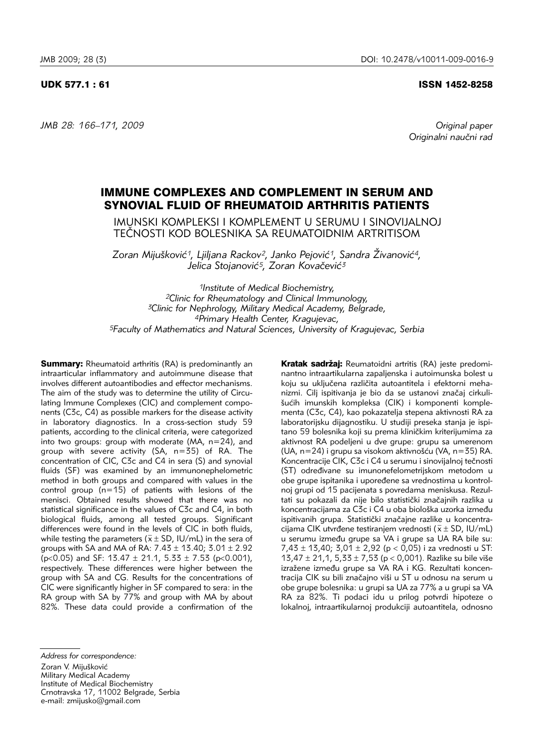# UDK 577.1 : 61 ISSN 1452-8258

*JMB 28: 166–171, 2009 Original paper*

Originalni naučni rad

# IMMUNE COMPLEXES AND COMPLEMENT IN SERUM AND SYNOVIAL FLUID OF RHEUMATOID ARTHRITIS PATIENTS

IMUNSKI KOMPLEKSI I KOMPLEMENT U SERUMU I SINOVIJALNOJ TEČNOSTI KOD BOLESNIKA SA REUMATOIDNIM ARTRITISOM

Zoran Mijušković<sup>1</sup>, Ljiljana Rackov<sup>2</sup>, Janko Pejović<sup>1</sup>, Sandra Živanović<sup>4</sup>, Jelica Stojanović<sup>5</sup>, Zoran Kovačević<sup>3</sup>

*1Institute of Medical Biochemistry, 2Clinic for Rheumatology and Clinical Immunology, 3Clinic for Nephrology, Military Medical Academy, Belgrade, 4Primary Health Center, Kragujevac, 5Faculty of Mathematics and Natural Sciences, University of Kragujevac, Serbia*

**Summary:** Rheumatoid arthritis (RA) is predominantly an intraarticular inflammatory and autoimmune disease that involves different autoantibodies and effector mechanisms. The aim of the study was to determine the utility of Circulating Immune Complexes (CIC) and complement components (C3c, C4) as possible markers for the disease activity in laboratory diagnostics. In a cross-section study 59 patients, according to the clinical criteria, were categorized into two groups: group with moderate (MA,  $n=24$ ), and group with severe activity (SA, n=35) of RA. The concentration of CIC, C3c and C4 in sera (S) and synovial fluids (SF) was examined by an immunonephelometric method in both groups and compared with values in the control group (n=15) of patients with lesions of the menisci. Obtained results showed that there was no statistical significance in the values of C3c and C4, in both biological fluids, among all tested groups. Significant differences were found in the levels of CIC in both fluids, while testing the parameters ( $\bar{x} \pm SD$ , IU/mL) in the sera of groups with SA and MA of RA:  $7.43 \pm 13.40$ ;  $3.01 \pm 2.92$ ( $p<0.05$ ) and SF: 13.47  $\pm$  21.1, 5.33  $\pm$  7.53 ( $p<0.001$ ), respectively. These differences were higher between the group with SA and CG. Results for the concentrations of CIC were significantly higher in SF compared to sera: in the RA group with SA by 77% and group with MA by about 82%. These data could provide a confirmation of the

Kratak sadržaj: Reumatoidni artritis (RA) jeste predominantno intraartikularna zapalienska i autoimunska bolest u koju su uključena različita autoantitela i efektorni mehanizmi. Cilj ispitivanja je bio da se ustanovi značaj cirkulišućih imunskih kompleksa (CIK) i komponenti komplementa (C3c, C4), kao pokazatelja stepena aktivnosti RA za laboratorijsku dijagnostiku. U studiji preseka stanja je ispitano 59 bolesnika koji su prema kliničkim kriterijumima za aktivnost RA podeljeni u dve grupe: grupu sa umerenom (UA,  $n=24$ ) i grupu sa visokom aktivnošću (VA,  $n=35$ ) RA. Koncentracije CIK, C3c i C4 u serumu i sinovijalnoj tečnosti (ST) određivane su imunonefelometrijskom metodom u obe grupe ispitanika i upoređene sa vrednostima u kontrolnoj grupi od 15 pacijenata s povredama meniskusa. Rezultati su pokazali da nije bilo statistički značajnih razlika u koncentracijama za C3c i C4 u oba biološka uzorka između ispitivanih grupa. Statistički značajne razlike u koncentracijama CIK utvrđene testiranjem vrednosti ( $\bar{x} \pm SD$ , IU/mL) u serumu između grupe sa VA i grupe sa UA RA bile su: 7,43  $\pm$  13,40; 3,01  $\pm$  2,92 (p < 0,05) i za vrednosti u ST: 13,47  $\pm$  21,1, 5,33  $\pm$  7,53 (p < 0,001). Razlike su bile više izražene između grupe sa VA RA i KG. Rezultati koncentracija CIK su bili značajno viši u ST u odnosu na serum u obe grupe bolesnika: u grupi sa UA za 77% a u grupi sa VA RA za 82%. Ti podaci idu u prilog potvrdi hipoteze o lokalnoj, intraartikularnoj produkciji autoantitela, odnosno

*Address for correspondence:*

Zoran V. Mijušković Military Medical Academy Institute of Medical Biochemistry Crnotravska 17, 11002 Belgrade, Serbia e-mail: zmijusko@gmail.com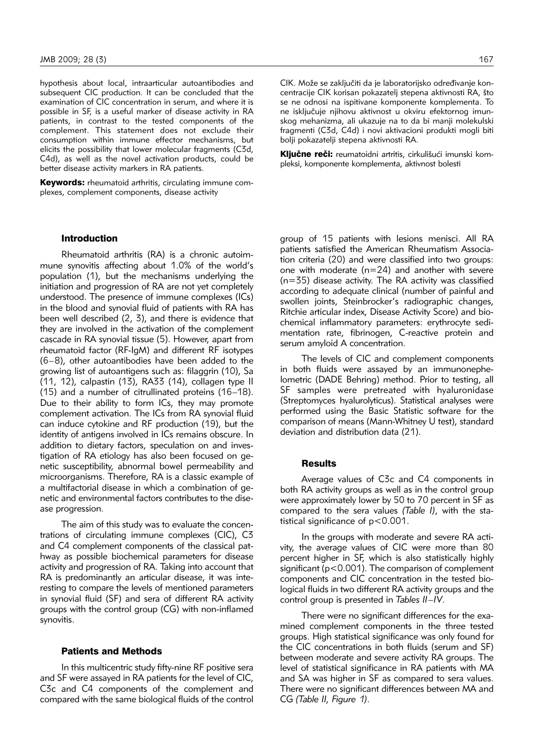hypothesis about local, intraarticular autoantibodies and subsequent CIC production. It can be concluded that the examination of CIC concentration in serum, and where it is possible in SF, is a useful marker of disease activity in RA patients, in contrast to the tested components of the complement. This statement does not exclude their consumption within immune effector mechanisms, but elicits the possibility that lower molecular fragments (C3d, C4d), as well as the novel activation products, could be better disease activity markers in RA patients.

Keywords: rheumatoid arthritis, circulating immune complexes, complement components, disease activity

# Introduction

Rheumatoid arthritis (RA) is a chronic autoimmune synovitis affecting about 1.0% of the world's population (1), but the mechanisms underlying the initiation and progression of RA are not yet completely understood. The presence of immune complexes (ICs) in the blood and synovial fluid of patients with RA has been well described (2, 3), and there is evidence that they are involved in the activation of the complement cascade in RA synovial tissue (5). However, apart from rheumatoid factor (RF-IgM) and different RF isotypes (6–8), other autoantibodies have been added to the growing list of autoantigens such as: filaggrin (10), Sa (11, 12), calpastin (13), RA33 (14), collagen type II (15) and a number of citrullinated proteins (16–18). Due to their ability to form ICs, they may promote complement activation. The ICs from RA synovial fluid can induce cytokine and RF production (19), but the identity of antigens involved in ICs remains obscure. In addition to dietary factors, speculation on and investigation of RA etiology has also been focused on genetic susceptibility, abnormal bowel permeability and microorganisms. Therefore, RA is a classic example of a multifactorial disease in which a combination of genetic and environmental factors contributes to the dise ase progression.

The aim of this study was to evaluate the concentrations of circulating immune complexes (CIC), C3 and C4 complement components of the classical pathway as possible biochemical parameters for disease activity and progression of RA. Taking into account that RA is predominantly an articular disease, it was interesting to compare the levels of mentioned parameters in synovial fluid (SF) and sera of different RA activity groups with the control group (CG) with non-inflamed synovitis.

### Patients and Methods

In this multicentric study fifty-nine RF positive sera and SF were assayed in RA patients for the level of CIC, C3c and C4 components of the complement and compared with the same biological fluids of the control CIK. Može se zaključiti da je laboratorijsko određivanje koncentracije CIK korisan pokazateli stepena aktivnosti RA, što se ne odnosi na ispitivane komponente komplementa. To ne isključuje njihovu aktivnost u okviru efektornog imunskog mehanizma, ali ukazuje na to da bi manji molekulski fragmenti (C3d, C4d) i novi aktivacioni produkti mogli biti bolji pokazatelji stepena aktivnosti RA.

Ključne reči: reumatoidni artritis, cirkulišući imunski kompleksi, komponente komplementa, aktivnost bolesti

group of 15 patients with lesions menisci. All RA patients satisfied the American Rheumatism Association criteria (20) and were classified into two groups: one with moderate (n=24) and another with severe  $(n=35)$  disease activity. The RA activity was classified according to adequate clinical (number of painful and swollen joints, Steinbrocker's radiographic changes, Ritchie articular index, Disease Activity Score) and bio chemical inflammatory parameters: erythrocyte sedimentation rate, fibrinogen, C-reactive protein and serum amyloid A concentration.

The levels of CIC and complement components in both fluids were assayed by an immunonephelometric (DADE Behring) method. Prior to testing, all SF samples were pretreated with hyaluronidase (Streptomyces hyalurolyticus). Statistical analyses were performed using the Basic Statistic software for the comparison of means (Mann-Whitney U test), standard deviation and distribution data (21).

#### **Results**

Average values of C3c and C4 components in both RA activity groups as well as in the control group were approximately lower by 50 to 70 percent in SF as compared to the sera values (Table I), with the statistical significance of p<0.001.

In the groups with moderate and severe RA activity, the average values of CIC were more than 80 percent higher in SF, which is also statistically highly significant (p<0.001). The comparison of complement components and CIC concentration in the tested biological fluids in two different RA activity groups and the control group is presented in *Tables II–IV*.

There were no significant differences for the examined complement components in the three tested groups. High statistical significance was only found for the CIC concentrations in both fluids (serum and SF) between moderate and severe activity RA groups. The level of statistical significance in RA patients with MA and SA was higher in SF as compared to sera values. There were no significant differences between MA and CG *(Table II, Figure 1)*.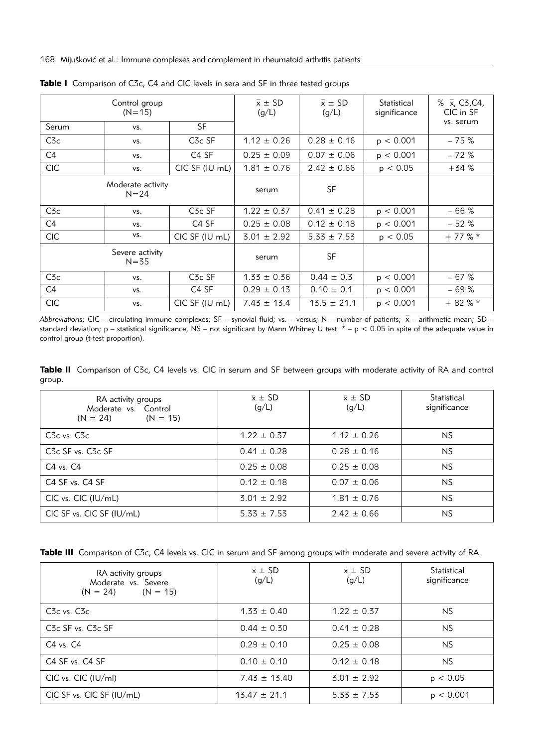|                | Control group<br>$(N=15)$     |                                | $\bar{x} \pm SD$<br>(g/L) | $\overline{x} \pm SD$<br>(g/L) | Statistical<br>significance | % $\bar{x}$ , C3, C4,<br>CIC in SF |
|----------------|-------------------------------|--------------------------------|---------------------------|--------------------------------|-----------------------------|------------------------------------|
| Serum          | VS.                           | <b>SF</b>                      |                           |                                |                             | vs. serum                          |
| C3c            | VS.                           | C <sub>3</sub> c SF            | $1.12 \pm 0.26$           | $0.28 \pm 0.16$                | p < 0.001                   | $-75%$                             |
| C <sub>4</sub> | VS.                           | C <sub>4</sub> SF              | $0.25 \pm 0.09$           | $0.07 \pm 0.06$                | p < 0.001                   | $-72%$                             |
| <b>CIC</b>     | VS.                           | CIC SF (IU mL)                 | $1.81 \pm 0.76$           | $2.42 \pm 0.66$                | p < 0.05                    | $+34%$                             |
|                | Moderate activity<br>$N = 24$ |                                | serum                     | SF                             |                             |                                    |
| $C_{\rm}$      | VS.                           | C <sub>3</sub> c <sub>SF</sub> | $1.22 \pm 0.37$           | $0.41 \pm 0.28$                | p < 0.001                   | $-66%$                             |
| C <sub>4</sub> | VS.                           | C <sub>4</sub> SF              | $0.25 \pm 0.08$           | $0.12 \pm 0.18$                | p < 0.001                   | $-52%$                             |
| <b>CIC</b>     | VS.                           | CIC SF (IU mL)                 | $3.01 \pm 2.92$           | $5.33 \pm 7.53$                | p < 0.05                    | $+77$ % $*$                        |
|                | Severe activity<br>$N = 35$   |                                | serum                     | SF                             |                             |                                    |
| $C_{\rm}$      | VS.                           | C <sub>3</sub> c <sub>SF</sub> | $1.33 \pm 0.36$           | $0.44 \pm 0.3$                 | p < 0.001                   | $-67%$                             |
| C <sub>4</sub> | VS.                           | C <sub>4</sub> SF              | $0.29 \pm 0.13$           | $0.10 \pm 0.1$                 | p < 0.001                   | $-69%$                             |
| <b>CIC</b>     | VS.                           | CIC SF (IU mL)                 | $7.43 \pm 13.4$           | $13.5 \pm 21.1$                | p < 0.001                   | $+82%$                             |

Table I Comparison of C3c, C4 and CIC levels in sera and SF in three tested groups

*Abbreviations*: CIC – circulating immune complexes; SF – synovial fluid; vs. – versus; N – number of patients;  $\bar{x}$  – arithmetic mean; SD – standard deviation; p – statistical significance, NS – not significant by Mann Whitney U test. \* – p < 0.05 in spite of the adequate value in control group (t-test proportion).

Table II Comparison of C3c, C4 levels vs. CIC in serum and SF between groups with moderate activity of RA and control group.

| RA activity groups<br>Moderate vs. Control<br>$(N = 24)$ $(N = 15)$ | $\bar{x} \pm SD$<br>(g/L) | $\bar{x} \pm SD$<br>(g/L) | Statistical<br>significance |
|---------------------------------------------------------------------|---------------------------|---------------------------|-----------------------------|
| C <sub>3</sub> c vs. C <sub>3c</sub>                                | $1.22 \pm 0.37$           | $1.12 \pm 0.26$           | NS.                         |
| C <sub>3</sub> c SF vs. C <sub>3</sub> c SF                         | $0.41 \pm 0.28$           | $0.28 \pm 0.16$           | <b>NS</b>                   |
| C4 vs. C4                                                           | $0.25 \pm 0.08$           | $0.25 \pm 0.08$           | <b>NS</b>                   |
| C4 SF vs. C4 SF                                                     | $0.12 \pm 0.18$           | $0.07 \pm 0.06$           | <b>NS</b>                   |
| CIC vs. CIC (IU/mL)                                                 | $3.01 \pm 2.92$           | $1.81 \pm 0.76$           | <b>NS</b>                   |
| CIC SF vs. CIC SF (IU/mL)                                           | $5.33 \pm 7.53$           | $2.42 \pm 0.66$           | <b>NS</b>                   |

|  |  |  |  |  | Table III Comparison of C3c, C4 levels vs. CIC in serum and SF among groups with moderate and severe activity of RA. |  |
|--|--|--|--|--|----------------------------------------------------------------------------------------------------------------------|--|
|--|--|--|--|--|----------------------------------------------------------------------------------------------------------------------|--|

| RA activity groups<br>Moderate vs. Severe<br>$(N = 24)$ $(N = 15)$ | $\bar{x} \pm SD$<br>(g/L) | $\bar{x} \pm SD$<br>(g/L) | Statistical<br>significance |
|--------------------------------------------------------------------|---------------------------|---------------------------|-----------------------------|
| C <sub>3</sub> c vs. C <sub>3c</sub>                               | $1.33 \pm 0.40$           | $1.22 \pm 0.37$           | NS                          |
| C <sub>3</sub> c SF vs. C <sub>3c</sub> SF                         | $0.44 \pm 0.30$           | $0.41 \pm 0.28$           | NS                          |
| $C4$ vs. $C4$                                                      | $0.29 \pm 0.10$           | $0.25 \pm 0.08$           | NS.                         |
| C <sub>4</sub> SF <sub>vs</sub> , C <sub>4</sub> SF                | $0.10 \pm 0.10$           | $0.12 \pm 0.18$           | NS                          |
| $CIC$ vs. $CIC$ ( $ U/m $ )                                        | $7.43 \pm 13.40$          | $3.01 \pm 2.92$           | p < 0.05                    |
| CIC SF vs. CIC SF (IU/mL)                                          | $13.47 \pm 21.1$          | $5.33 \pm 7.53$           | p < 0.001                   |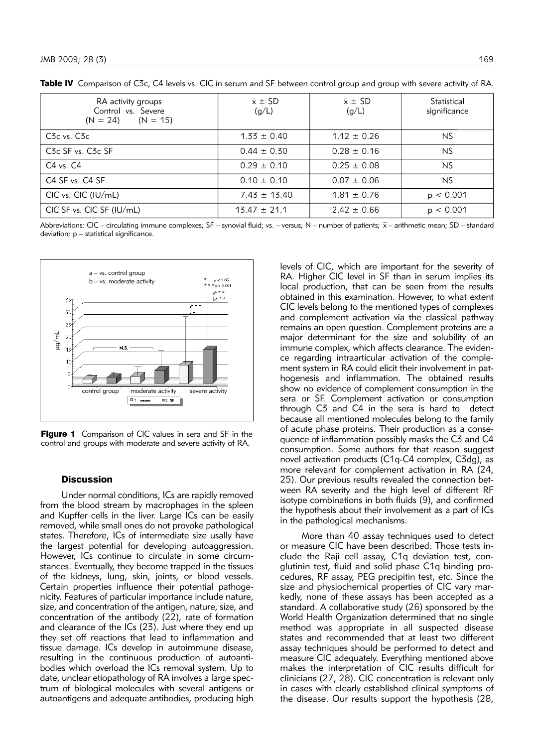| RA activity groups<br>Control vs. Severe<br>$(N = 24)$ $(N = 15)$ | $\bar{x} \pm SD$<br>(g/L) | $\bar{x} \pm SD$<br>(g/L) | Statistical<br>significance |
|-------------------------------------------------------------------|---------------------------|---------------------------|-----------------------------|
| C <sub>3</sub> c vs. C <sub>3c</sub>                              | $1.33 \pm 0.40$           | $1.12 \pm 0.26$           | NS                          |
| C <sub>3</sub> c SF vs. C <sub>3</sub> c SF                       | $0.44 \pm 0.30$           | $0.28 \pm 0.16$           | <b>NS</b>                   |
| $C4$ vs. $C4$                                                     | $0.29 \pm 0.10$           | $0.25 \pm 0.08$           | NS                          |
| C4 SF vs. C4 SF                                                   | $0.10 \pm 0.10$           | $0.07 \pm 0.06$           | <b>NS</b>                   |
| $CIC$ vs. $CIC$ ( $IU/mL$ )                                       | $7.43 \pm 13.40$          | $1.81 \pm 0.76$           | p < 0.001                   |
| CIC SF vs. CIC SF (IU/mL)                                         | $13.47 \pm 21.1$          | $2.42 \pm 0.66$           | p < 0.001                   |

Table IV Comparison of C3c, C4 levels vs. CIC in serum and SF between control group and group with severe activity of RA.

Abbreviations: CIC – circulating immune complexes; SF – synovial fluid; vs. – versus; N – number of patients;  $\bar{x}$  – arithmetic mean; SD – standard deviation; p – statistical significance.



Figure 1 Comparison of CIC values in sera and SF in the control and groups with moderate and severe activity of RA.

# **Discussion**

Under normal conditions, ICs are rapidly removed from the blood stream by macrophages in the spleen and Kupffer cells in the liver. Large ICs can be easily removed, while small ones do not provoke pathological states. Therefore, ICs of intermediate size usally have the largest potential for developing autoaggression. However, ICs continue to circulate in some circumstances. Eventually, they become trapped in the tissues of the kidneys, lung, skin, joints, or blood vessels. Certain properties influence their potential pathogenicity. Features of particular importance include nature, size, and concentration of the antigen, nature, size, and concentration of the antibody (22), rate of formation and clearance of the ICs (23). Just where they end up they set off reactions that lead to inflammation and tissue damage. ICs develop in auto immune disease, resulting in the continuous production of autoantibodies which overload the ICs removal system. Up to date, unclear etiopathology of RA involves a large spectrum of biological molecules with several antigens or autoantigens and adequate antibodies, producing high levels of CIC, which are important for the severity of RA. Higher CIC level in SF than in serum implies its local production, that can be seen from the results obtained in this examination. However, to what extent CIC levels belong to the mentioned types of complexes and complement activation via the classical pathway remains an open question. Complement proteins are a major determinant for the size and solubility of an immune complex, which affects clearance. The evidence regarding intraarticular activation of the complement system in RA could elicit their involvement in pathogenesis and inflammation. The obtained results show no evidence of complement consumption in the sera or SF. Complement activation or consumption through C3 and C4 in the sera is hard to detect because all mentioned molecules belong to the family of acute phase proteins. Their production as a consequence of inflammation possibly masks the C3 and C4 consumption. Some authors for that reason suggest novel activation products (C1q-C4 complex, C3dg), as more relevant for complement activation in RA (24, 25). Our previous results revealed the connection between RA severity and the high level of different RF isotype combinations in both fluids (9), and confirmed the hypothesis about their involvement as a part of ICs in the pathological mechanisms.

More than 40 assay techniques used to detect or measure CIC have been described. Those tests include the Raji cell assay, C1q deviation test, conglutinin test, fluid and solid phase C1q binding procedures, RF assay, PEG precipitin test, etc. Since the size and physiochemical properties of CIC vary markedly, none of these assays has been accepted as a standard. A collaborative study (26) sponsored by the World Health Organization determined that no single method was appropriate in all suspected disease states and recommended that at least two different assay techniques should be performed to detect and measure CIC adequately. Everything mentioned above makes the interpretation of CIC results difficult for clinicians (27, 28). CIC concentration is relevant only in cases with clearly established clinical symptoms of the disease. Our results support the hypothesis (28,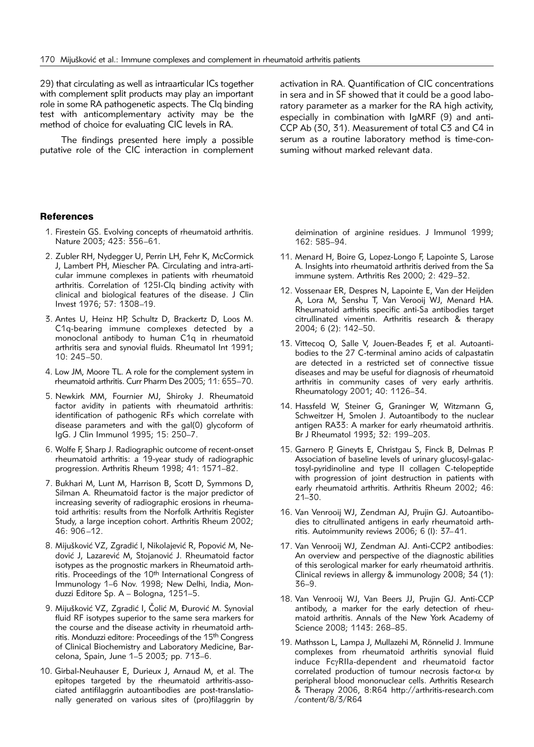29) that circulating as well as intraarticular ICs together with complement split products may play an important role in some RA pathogenetic aspects. The Clq binding test with anticomplementary activity may be the method of choice for evaluating CIC levels in RA.

The findings presented here imply a possible putative role of the CIC interaction in complement activation in RA. Quantification of CIC concentrations in sera and in SF showed that it could be a good laboratory parameter as a marker for the RA high activity, especially in combination with IgMRF (9) and anti-CCP Ab (30, 31). Measurement of total C3 and C4 in serum as a routine laboratory method is time-consuming without marked relevant data.

# **References**

- 1. Firestein GS. Evolving concepts of rheumatoid arthritis. Nature 2003; 423: 356–61.
- 2. Zubler RH, Nydegger U, Perrin LH, Fehr K, McCormick J, Lambert PH, Miescher PA. Circulating and intra-articular immune complexes in patients with rheumatoid arthritis. Correlation of 125I-Clq binding activity with clinical and biological features of the disease. J Clin Invest 1976; 57: 1308–19.
- 3. Antes U, Heinz HP, Schultz D, Brackertz D, Loos M. C1q-bearing immune complexes detected by a monoclonal antibody to human C1q in rheumatoid arthritis sera and synovial fluids. Rheumatol Int 1991; 10: 245–50.
- 4. Low JM, Moore TL. A role for the complement system in rheumatoid arthritis. Curr Pharm Des 2005; 11: 655–70.
- 5. Newkirk MM, Fournier MJ, Shiroky J. Rheumatoid factor avidity in patients with rheumatoid arthritis: identification of pathogenic RFs which correlate with disease parameters and with the gal(0) glycoform of IgG. J Clin Immunol 1995; 15: 250–7.
- 6. Wolfe F, Sharp J. Radiographic outcome of recent-onset rheumatoid arthritis: a 19-year study of radiographic progression. Arthritis Rheum 1998; 41: 1571-82.
- 7. Bukhari M, Lunt M, Harrison B, Scott D, Symmons D, Silman A. Rheumatoid factor is the major predictor of increasing severity of radiographic erosions in rheumatoid arthritis: results from the Norfolk Arthritis Register Study, a large inception cohort. Arthritis Rheum 2002; 46: 906–12.
- 8. Mijušković VZ, Zgradić I, Nikolajević R, Popović M, Nedović J, Lazarević M, Stojanović J. Rheumatoid factor isotypes as the prognostic markers in Rheumatoid arthritis. Proceedings of the 10<sup>th</sup> International Congress of Immunology 1–6 Nov. 1998; New Delhi, India, Monduzzi Editore Sp. A – Bologna, 1251–5.
- 9. Mijušković VZ, Zgradić I, Čolić M, Đurović M. Synovial fluid RF isotypes superior to the same sera markers for the course and the disease activity in rheumatoid arthritis. Monduzzi editore: Proceedings of the 15<sup>th</sup> Congress of Clinical Biochemistry and Laboratory Medicine, Barcelona, Spain, June 1–5 2003; pp. 713–6.
- 10. Girbal-Neuhauser E, Durieux J, Arnaud M, et al. The epitopes targeted by the rheumatoid arthritis-associated antifilaggrin autoantibodies are post-translatio nally generated on various sites of (pro)filaggrin by

deimination of arginine residues. J Immunol 1999; 162: 585–94.

- 11. Menard H, Boire G, Lopez-Longo F, Lapointe S, Larose A. Insights into rheumatoid arthritis derived from the Sa immune system. Arthritis Res 2000; 2: 429–32.
- 12. Vossenaar ER, Despres N, Lapointe E, Van der Heijden A, Lora M, Senshu T, Van Verooij WJ, Menard HA. Rheumatoid arthritis specific anti-Sa antibodies target citrullinated vimentin. Arthritis research & therapy 2004; 6 (2): 142–50.
- 13. Vittecog O, Salle V, Jouen-Beades F, et al. Autoantibodies to the 27 C-terminal amino acids of calpastatin are detected in a restricted set of connective tissue diseases and may be useful for diagnosis of rheumatoid arthritis in community cases of very early arthritis. Rheumatology 2001; 40: 1126–34.
- 14. Hassfeld W, Steiner G, Graninger W, Witzmann G, Schweitzer H, Smolen J. Autoantibody to the nuclear antigen RA33: A marker for early rheumatoid arthritis. Br J Rheumatol 1993; 32: 199–203.
- 15. Garnero P, Gineyts E, Christgau S, Finck B, Delmas P. Association of baseline levels of urinary glucosyl-galactosyl-pyridinoline and type II collagen C-telopeptide with progression of joint destruction in patients with early rheumatoid arthritis. Arthritis Rheum 2002; 46: 21–30.
- 16. Van Venrooij WJ, Zendman AJ, Prujin GJ. Autoantibodies to citrullinated antigens in early rheumatoid arthritis. Autoimmunity reviews 2006; 6 (l): 37–41.
- 17. Van Venrooij WJ, Zendman AJ. Anti-CCP2 antibodies: An overview and perspective of the diagnostic abilities of this serological marker for early rheumatoid arthritis. Clinical reviews in allergy & immunology 2008; 34 (1): 36–9.
- 18. Van Venrooij WJ, Van Beers JJ, Prujin GJ. Anti-CCP antibody, a marker for the early detection of rheumatoid arthritis. Annals of the New York Academy of Science 2008; 1143: 268–85.
- 19. Mathsson L, Lampa J, Mullazehi M, Rönnelid J. Immune complexes from rheumatoid arthritis synovial fluid induce FcyRIIa-dependent and rheumatoid factor correlated production of tumour necrosis factor-a by peripheral blood mononuclear cells. Arthritis Research & Therapy 2006, 8:R64 http://arthritis-research.com /content/8/3/R64